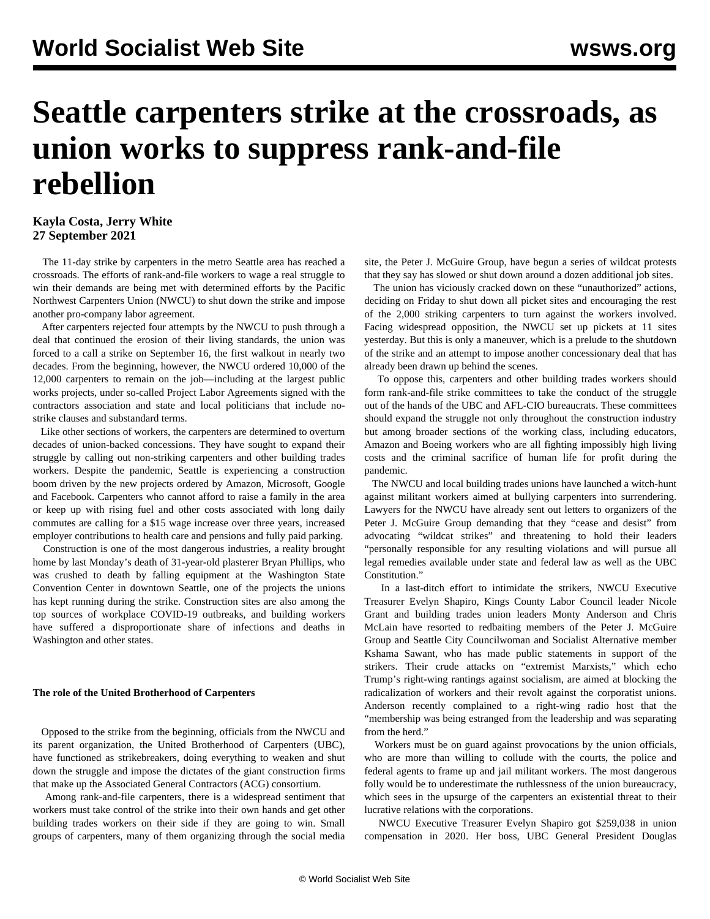# **Seattle carpenters strike at the crossroads, as union works to suppress rank-and-file rebellion**

## **Kayla Costa, Jerry White 27 September 2021**

 The 11-day strike by carpenters in the metro Seattle area has reached a crossroads. The efforts of rank-and-file workers to wage a real struggle to win their demands are being met with determined efforts by the Pacific Northwest Carpenters Union (NWCU) to shut down the strike and impose another pro-company labor agreement.

 After carpenters rejected four attempts by the NWCU to push through a deal that continued the erosion of their living standards, the union was forced to a call a strike on September 16, the first walkout in nearly two decades. From the beginning, however, the NWCU ordered 10,000 of the 12,000 carpenters to remain on the job—including at the largest public works projects, under so-called Project Labor Agreements signed with the contractors association and state and local politicians that include nostrike clauses and substandard terms.

 Like other sections of workers, the carpenters are determined to overturn decades of union-backed concessions. They have sought to expand their struggle by calling out non-striking carpenters and other building trades workers. Despite the pandemic, Seattle is experiencing a construction boom driven by the new projects ordered by Amazon, Microsoft, Google and Facebook. Carpenters who cannot afford to raise a family in the area or keep up with rising fuel and other costs associated with long daily commutes are calling for a \$15 wage increase over three years, increased employer contributions to health care and pensions and fully paid parking.

 Construction is one of the most dangerous industries, a reality brought home by last Monday's death of 31-year-old plasterer Bryan Phillips, who was crushed to death by falling equipment at the Washington State Convention Center in downtown Seattle, one of the projects the unions has kept running during the strike. Construction sites are also among the top sources of workplace COVID-19 outbreaks, and building workers have suffered a disproportionate share of infections and deaths in Washington and other states.

### **The role of the United Brotherhood of Carpenters**

 Opposed to the strike from the beginning, officials from the NWCU and its parent organization, the United Brotherhood of Carpenters (UBC), have functioned as strikebreakers, doing everything to weaken and shut down the struggle and impose the dictates of the giant construction firms that make up the Associated General Contractors (ACG) consortium.

 Among rank-and-file carpenters, there is a widespread sentiment that workers must take control of the strike into their own hands and get other building trades workers on their side if they are going to win. Small groups of carpenters, many of them organizing through the social media site, the Peter J. McGuire Group, have begun a series of wildcat protests that they say has slowed or shut down around a dozen additional job sites.

 The union has viciously cracked down on these "unauthorized" actions, deciding on Friday to shut down all picket sites and encouraging the rest of the 2,000 striking carpenters to turn against the workers involved. Facing widespread opposition, the NWCU set up pickets at 11 sites yesterday. But this is only a maneuver, which is a prelude to the shutdown of the strike and an attempt to impose another concessionary deal that has already been drawn up behind the scenes.

 To oppose this, carpenters and other building trades workers should form rank-and-file strike committees to take the conduct of the struggle out of the hands of the UBC and AFL-CIO bureaucrats. These committees should expand the struggle not only throughout the construction industry but among broader sections of the working class, including educators, Amazon and Boeing workers who are all fighting impossibly high living costs and the criminal sacrifice of human life for profit during the pandemic.

 The NWCU and local building trades unions have launched a witch-hunt against militant workers aimed at bullying carpenters into surrendering. Lawyers for the NWCU have already sent out letters to organizers of the Peter J. McGuire Group demanding that they "cease and desist" from advocating "wildcat strikes" and threatening to hold their leaders "personally responsible for any resulting violations and will pursue all legal remedies available under state and federal law as well as the UBC Constitution."

 In a last-ditch effort to intimidate the strikers, NWCU Executive Treasurer Evelyn Shapiro, Kings County Labor Council leader Nicole Grant and building trades union leaders Monty Anderson and Chris McLain have resorted to redbaiting members of the Peter J. McGuire Group and Seattle City Councilwoman and Socialist Alternative member Kshama Sawant, who has made public statements in support of the strikers. Their crude attacks on "extremist Marxists," which echo Trump's right-wing rantings against socialism, are aimed at blocking the radicalization of workers and their revolt against the corporatist unions. Anderson recently complained to a right-wing radio host that the "membership was being estranged from the leadership and was separating from the herd."

 Workers must be on guard against provocations by the union officials, who are more than willing to collude with the courts, the police and federal agents to frame up and jail militant workers. The most dangerous folly would be to underestimate the ruthlessness of the union bureaucracy, which sees in the upsurge of the carpenters an existential threat to their lucrative relations with the corporations.

 NWCU Executive Treasurer Evelyn Shapiro got \$259,038 in union compensation in 2020. Her boss, UBC General President Douglas